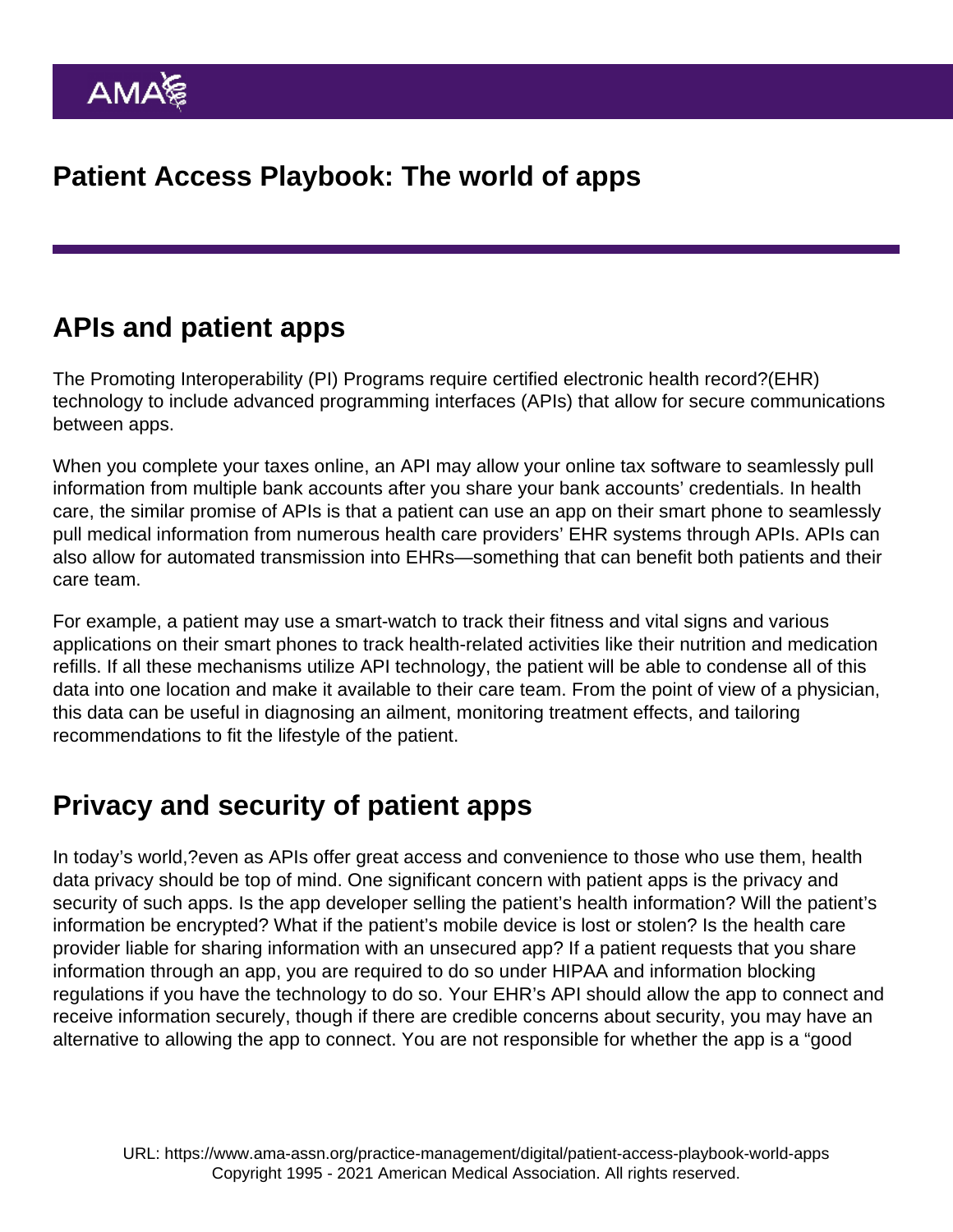## APIs and patient apps

The Promoting Interoperability (PI) Programs require certified electronic health record?(EHR) technology to include advanced programming interfaces (APIs) that allow for secure communications between apps.

When you complete your taxes online, an API may allow your online tax software to seamlessly pull information from multiple bank accounts after you share your bank accounts' credentials. In health care, the similar promise of APIs is that a patient can use an app on their smart phone to seamlessly pull medical information from numerous health care providers' EHR systems through APIs. APIs can also allow for automated transmission into EHRs—something that can benefit both patients and their care team.

For example, a patient may use a smart-watch to track their fitness and vital signs and various applications on their smart phones to track health-related activities like their nutrition and medication refills. If all these mechanisms utilize API technology, the patient will be able to condense all of this data into one location and make it available to their care team. From the point of view of a physician, this data can be useful in diagnosing an ailment, monitoring treatment effects, and tailoring recommendations to fit the lifestyle of the patient.

## Privacy and security of patient apps

In today's world,?even as APIs offer great access and convenience to those who use them, [health](https://www.ama-assn.org/delivering-care/patient-support-advocacy/ama-health-data-privacy-framework) [data privacy](https://www.ama-assn.org/delivering-care/patient-support-advocacy/ama-health-data-privacy-framework) should be top of mind. One significant concern with patient apps is the privacy and security of such apps. Is the app developer selling the patient's health information? Will the patient's information be encrypted? What if the patient's mobile device is lost or stolen? Is the health care provider liable for sharing information with an unsecured app? If a patient requests that you share information through an app, you are required to do so under HIPAA and information blocking regulations if you have the technology to do so. Your EHR's API should allow the app to connect and receive information securely, though if there are credible concerns about security, you may have an alternative to allowing the app to connect. You are not responsible for whether the app is a "good